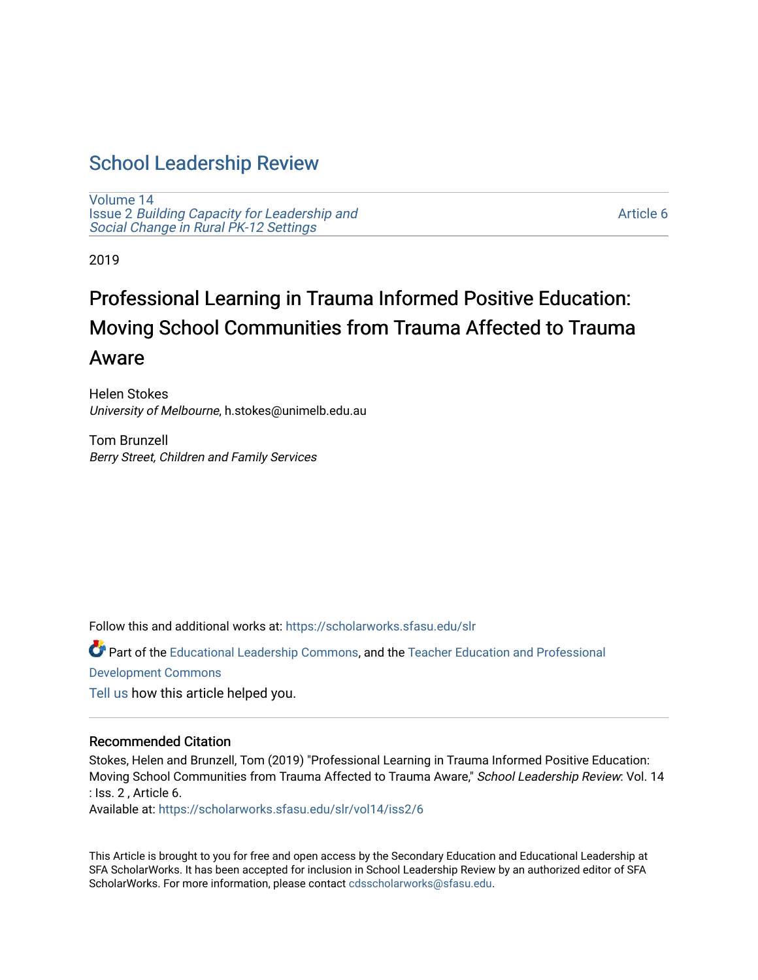# [School Leadership Review](https://scholarworks.sfasu.edu/slr)

[Volume 14](https://scholarworks.sfasu.edu/slr/vol14) Issue 2 [Building Capacity for Leadership and](https://scholarworks.sfasu.edu/slr/vol14/iss2)  [Social Change in Rural PK-12 Settings](https://scholarworks.sfasu.edu/slr/vol14/iss2) 

[Article 6](https://scholarworks.sfasu.edu/slr/vol14/iss2/6) 

2019

# Professional Learning in Trauma Informed Positive Education: Moving School Communities from Trauma Affected to Trauma Aware

Helen Stokes University of Melbourne, h.stokes@unimelb.edu.au

Tom Brunzell Berry Street, Children and Family Services

Follow this and additional works at: [https://scholarworks.sfasu.edu/slr](https://scholarworks.sfasu.edu/slr?utm_source=scholarworks.sfasu.edu%2Fslr%2Fvol14%2Fiss2%2F6&utm_medium=PDF&utm_campaign=PDFCoverPages) 

Part of the [Educational Leadership Commons,](http://network.bepress.com/hgg/discipline/1230?utm_source=scholarworks.sfasu.edu%2Fslr%2Fvol14%2Fiss2%2F6&utm_medium=PDF&utm_campaign=PDFCoverPages) and the [Teacher Education and Professional](http://network.bepress.com/hgg/discipline/803?utm_source=scholarworks.sfasu.edu%2Fslr%2Fvol14%2Fiss2%2F6&utm_medium=PDF&utm_campaign=PDFCoverPages) [Development Commons](http://network.bepress.com/hgg/discipline/803?utm_source=scholarworks.sfasu.edu%2Fslr%2Fvol14%2Fiss2%2F6&utm_medium=PDF&utm_campaign=PDFCoverPages)  [Tell us](http://sfasu.qualtrics.com/SE/?SID=SV_0qS6tdXftDLradv) how this article helped you.

# Recommended Citation

Stokes, Helen and Brunzell, Tom (2019) "Professional Learning in Trauma Informed Positive Education: Moving School Communities from Trauma Affected to Trauma Aware," School Leadership Review: Vol. 14 : Iss. 2 , Article 6.

Available at: [https://scholarworks.sfasu.edu/slr/vol14/iss2/6](https://scholarworks.sfasu.edu/slr/vol14/iss2/6?utm_source=scholarworks.sfasu.edu%2Fslr%2Fvol14%2Fiss2%2F6&utm_medium=PDF&utm_campaign=PDFCoverPages)

This Article is brought to you for free and open access by the Secondary Education and Educational Leadership at SFA ScholarWorks. It has been accepted for inclusion in School Leadership Review by an authorized editor of SFA ScholarWorks. For more information, please contact [cdsscholarworks@sfasu.edu.](mailto:cdsscholarworks@sfasu.edu)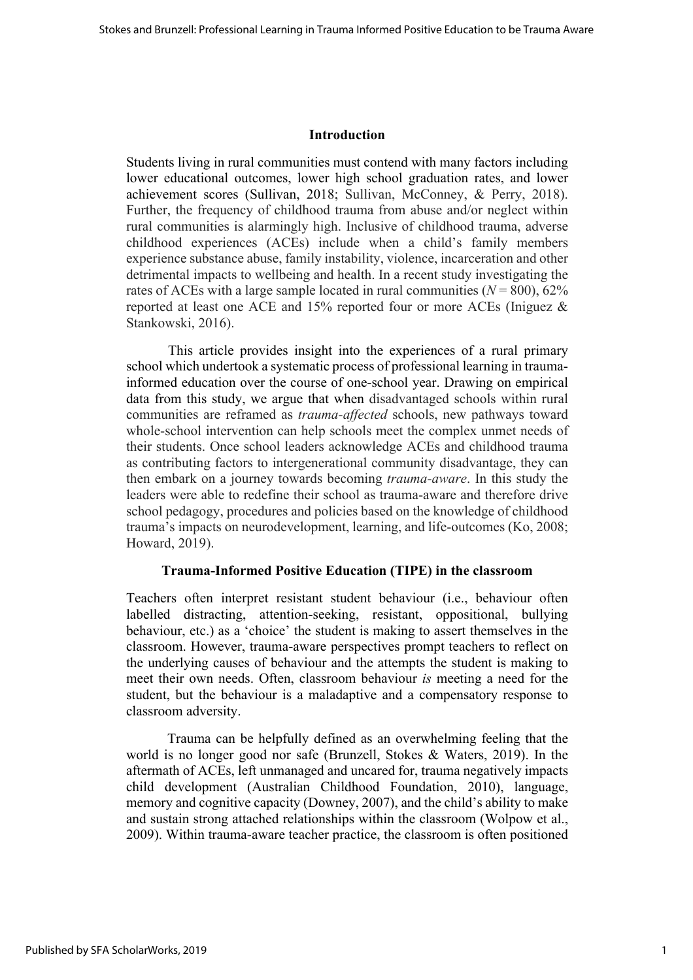### **Introduction**

Students living in rural communities must contend with many factors including lower educational outcomes, lower high school graduation rates, and lower achievement scores (Sullivan, 2018; Sullivan, McConney, & Perry, 2018). Further, the frequency of childhood trauma from abuse and/or neglect within rural communities is alarmingly high. Inclusive of childhood trauma, adverse childhood experiences (ACEs) include when a child's family members experience substance abuse, family instability, violence, incarceration and other detrimental impacts to wellbeing and health. In a recent study investigating the rates of ACEs with a large sample located in rural communities  $(N = 800)$ , 62% reported at least one ACE and 15% reported four or more ACEs (Iniguez & Stankowski, 2016).

This article provides insight into the experiences of a rural primary school which undertook a systematic process of professional learning in traumainformed education over the course of one-school year. Drawing on empirical data from this study, we argue that when disadvantaged schools within rural communities are reframed as *trauma-affected* schools, new pathways toward whole-school intervention can help schools meet the complex unmet needs of their students. Once school leaders acknowledge ACEs and childhood trauma as contributing factors to intergenerational community disadvantage, they can then embark on a journey towards becoming *trauma-aware*. In this study the leaders were able to redefine their school as trauma-aware and therefore drive school pedagogy, procedures and policies based on the knowledge of childhood trauma's impacts on neurodevelopment, learning, and life-outcomes (Ko, 2008; Howard, 2019).

#### **Trauma-Informed Positive Education (TIPE) in the classroom**

Teachers often interpret resistant student behaviour (i.e., behaviour often labelled distracting, attention-seeking, resistant, oppositional, bullying behaviour, etc.) as a 'choice' the student is making to assert themselves in the classroom. However, trauma-aware perspectives prompt teachers to reflect on the underlying causes of behaviour and the attempts the student is making to meet their own needs. Often, classroom behaviour *is* meeting a need for the student, but the behaviour is a maladaptive and a compensatory response to classroom adversity.

Trauma can be helpfully defined as an overwhelming feeling that the world is no longer good nor safe (Brunzell, Stokes & Waters, 2019). In the aftermath of ACEs, left unmanaged and uncared for, trauma negatively impacts child development (Australian Childhood Foundation, 2010), language, memory and cognitive capacity (Downey, 2007), and the child's ability to make and sustain strong attached relationships within the classroom (Wolpow et al., 2009). Within trauma-aware teacher practice, the classroom is often positioned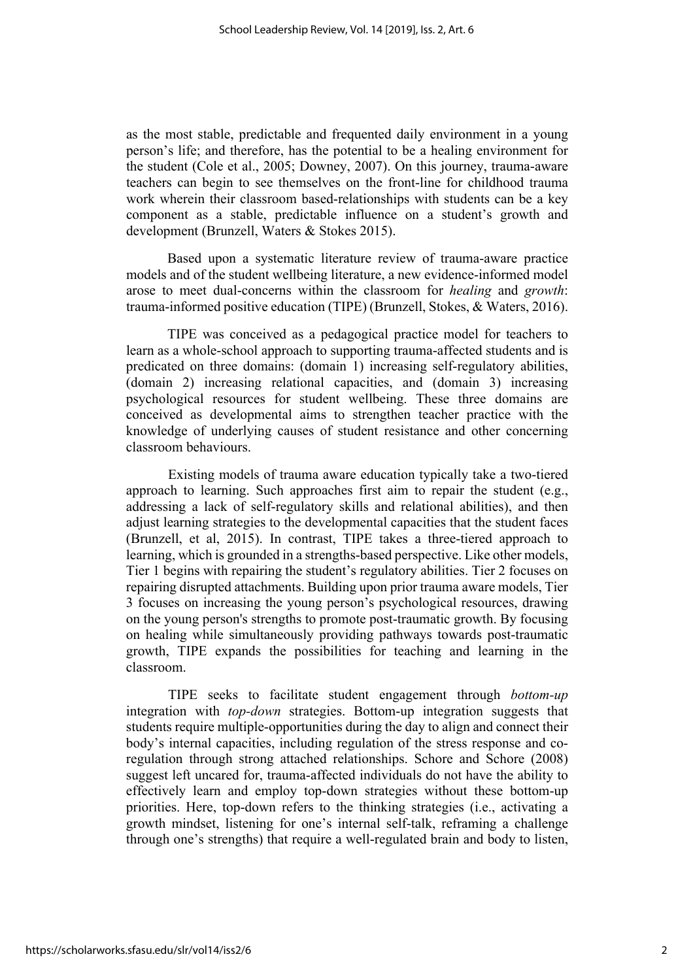as the most stable, predictable and frequented daily environment in a young person's life; and therefore, has the potential to be a healing environment for the student (Cole et al., 2005; Downey, 2007). On this journey, trauma-aware teachers can begin to see themselves on the front-line for childhood trauma work wherein their classroom based-relationships with students can be a key component as a stable, predictable influence on a student's growth and development (Brunzell, Waters & Stokes 2015).

Based upon a systematic literature review of trauma-aware practice models and of the student wellbeing literature, a new evidence-informed model arose to meet dual-concerns within the classroom for *healing* and *growth*: trauma-informed positive education (TIPE) (Brunzell, Stokes, & Waters, 2016).

TIPE was conceived as a pedagogical practice model for teachers to learn as a whole-school approach to supporting trauma-affected students and is predicated on three domains: (domain 1) increasing self-regulatory abilities, (domain 2) increasing relational capacities, and (domain 3) increasing psychological resources for student wellbeing. These three domains are conceived as developmental aims to strengthen teacher practice with the knowledge of underlying causes of student resistance and other concerning classroom behaviours.

Existing models of trauma aware education typically take a two-tiered approach to learning. Such approaches first aim to repair the student (e.g., addressing a lack of self-regulatory skills and relational abilities), and then adjust learning strategies to the developmental capacities that the student faces (Brunzell, et al, 2015). In contrast, TIPE takes a three-tiered approach to learning, which is grounded in a strengths-based perspective. Like other models, Tier 1 begins with repairing the student's regulatory abilities. Tier 2 focuses on repairing disrupted attachments. Building upon prior trauma aware models, Tier 3 focuses on increasing the young person's psychological resources, drawing on the young person's strengths to promote post-traumatic growth. By focusing on healing while simultaneously providing pathways towards post-traumatic growth, TIPE expands the possibilities for teaching and learning in the classroom.

TIPE seeks to facilitate student engagement through *bottom-up* integration with *top-down* strategies. Bottom-up integration suggests that students require multiple-opportunities during the day to align and connect their body's internal capacities, including regulation of the stress response and coregulation through strong attached relationships. Schore and Schore (2008) suggest left uncared for, trauma-affected individuals do not have the ability to effectively learn and employ top-down strategies without these bottom-up priorities. Here, top-down refers to the thinking strategies (i.e., activating a growth mindset, listening for one's internal self-talk, reframing a challenge through one's strengths) that require a well-regulated brain and body to listen,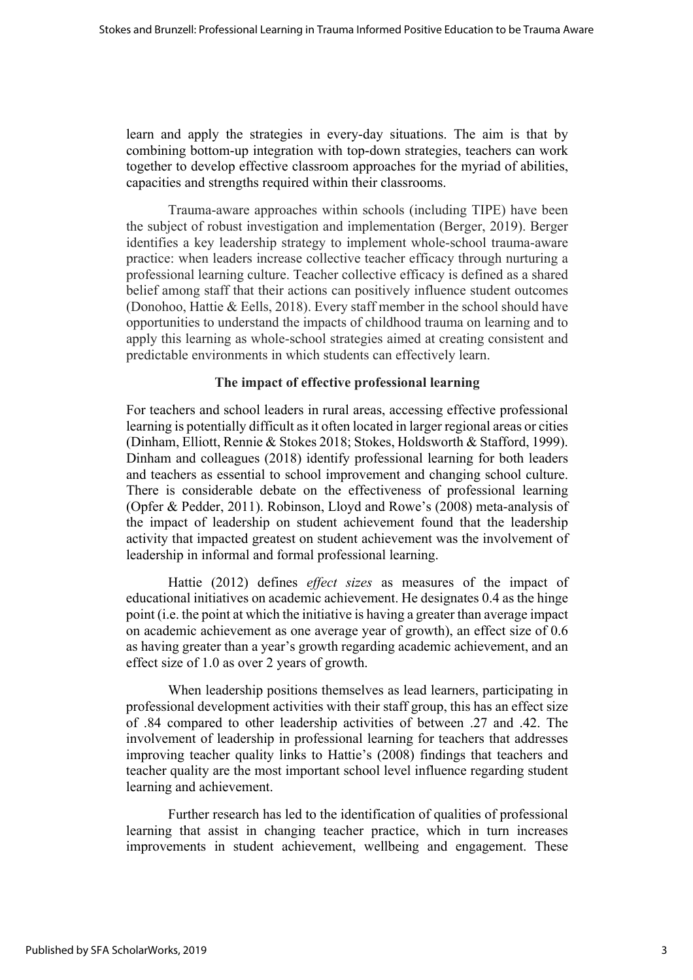learn and apply the strategies in every-day situations. The aim is that by combining bottom-up integration with top-down strategies, teachers can work together to develop effective classroom approaches for the myriad of abilities, capacities and strengths required within their classrooms.

Trauma-aware approaches within schools (including TIPE) have been the subject of robust investigation and implementation (Berger, 2019). Berger identifies a key leadership strategy to implement whole-school trauma-aware practice: when leaders increase collective teacher efficacy through nurturing a professional learning culture. Teacher collective efficacy is defined as a shared belief among staff that their actions can positively influence student outcomes (Donohoo, Hattie & Eells, 2018). Every staff member in the school should have opportunities to understand the impacts of childhood trauma on learning and to apply this learning as whole-school strategies aimed at creating consistent and predictable environments in which students can effectively learn.

#### **The impact of effective professional learning**

For teachers and school leaders in rural areas, accessing effective professional learning is potentially difficult as it often located in larger regional areas or cities (Dinham, Elliott, Rennie & Stokes 2018; Stokes, Holdsworth & Stafford, 1999). Dinham and colleagues (2018) identify professional learning for both leaders and teachers as essential to school improvement and changing school culture. There is considerable debate on the effectiveness of professional learning (Opfer & Pedder, 2011). Robinson, Lloyd and Rowe's (2008) meta-analysis of the impact of leadership on student achievement found that the leadership activity that impacted greatest on student achievement was the involvement of leadership in informal and formal professional learning.

Hattie (2012) defines *effect sizes* as measures of the impact of educational initiatives on academic achievement. He designates 0.4 as the hinge point (i.e. the point at which the initiative is having a greater than average impact on academic achievement as one average year of growth), an effect size of 0.6 as having greater than a year's growth regarding academic achievement, and an effect size of 1.0 as over 2 years of growth.

When leadership positions themselves as lead learners, participating in professional development activities with their staff group, this has an effect size of .84 compared to other leadership activities of between .27 and .42. The involvement of leadership in professional learning for teachers that addresses improving teacher quality links to Hattie's (2008) findings that teachers and teacher quality are the most important school level influence regarding student learning and achievement.

Further research has led to the identification of qualities of professional learning that assist in changing teacher practice, which in turn increases improvements in student achievement, wellbeing and engagement. These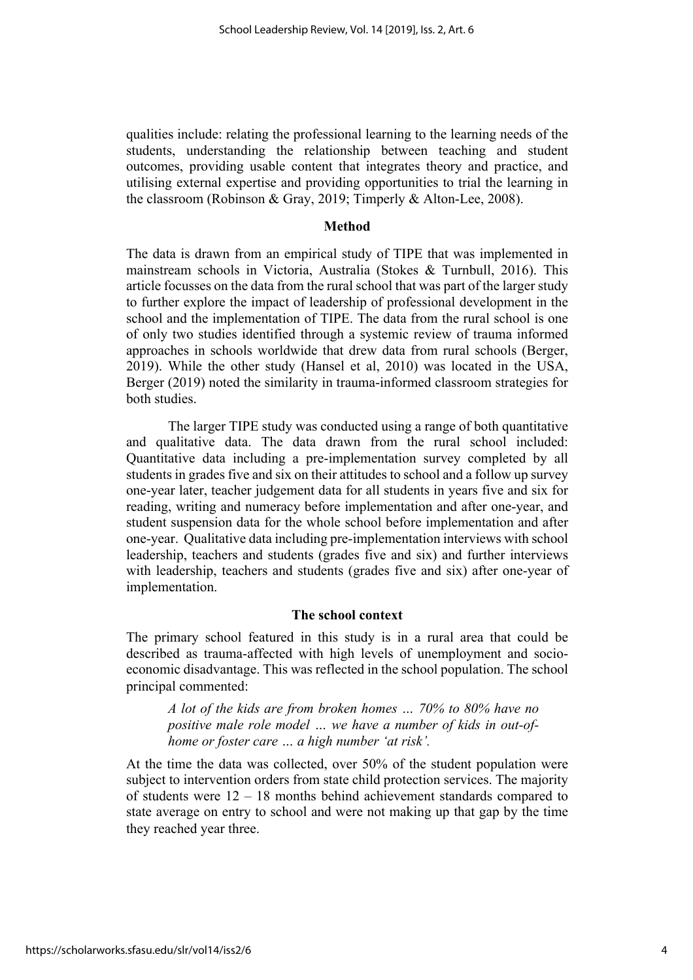qualities include: relating the professional learning to the learning needs of the students, understanding the relationship between teaching and student outcomes, providing usable content that integrates theory and practice, and utilising external expertise and providing opportunities to trial the learning in the classroom (Robinson & Gray, 2019; Timperly & Alton-Lee, 2008).

#### **Method**

The data is drawn from an empirical study of TIPE that was implemented in mainstream schools in Victoria, Australia (Stokes & Turnbull, 2016). This article focusses on the data from the rural school that was part of the larger study to further explore the impact of leadership of professional development in the school and the implementation of TIPE. The data from the rural school is one of only two studies identified through a systemic review of trauma informed approaches in schools worldwide that drew data from rural schools (Berger, 2019). While the other study (Hansel et al, 2010) was located in the USA, Berger (2019) noted the similarity in trauma-informed classroom strategies for both studies.

The larger TIPE study was conducted using a range of both quantitative and qualitative data. The data drawn from the rural school included: Quantitative data including a pre-implementation survey completed by all students in grades five and six on their attitudes to school and a follow up survey one-year later, teacher judgement data for all students in years five and six for reading, writing and numeracy before implementation and after one-year, and student suspension data for the whole school before implementation and after one-year. Qualitative data including pre-implementation interviews with school leadership, teachers and students (grades five and six) and further interviews with leadership, teachers and students (grades five and six) after one-year of implementation.

# **The school context**

The primary school featured in this study is in a rural area that could be described as trauma-affected with high levels of unemployment and socioeconomic disadvantage. This was reflected in the school population. The school principal commented:

*A lot of the kids are from broken homes … 70% to 80% have no positive male role model … we have a number of kids in out-ofhome or foster care … a high number 'at risk'.*

At the time the data was collected, over 50% of the student population were subject to intervention orders from state child protection services. The majority of students were 12 – 18 months behind achievement standards compared to state average on entry to school and were not making up that gap by the time they reached year three.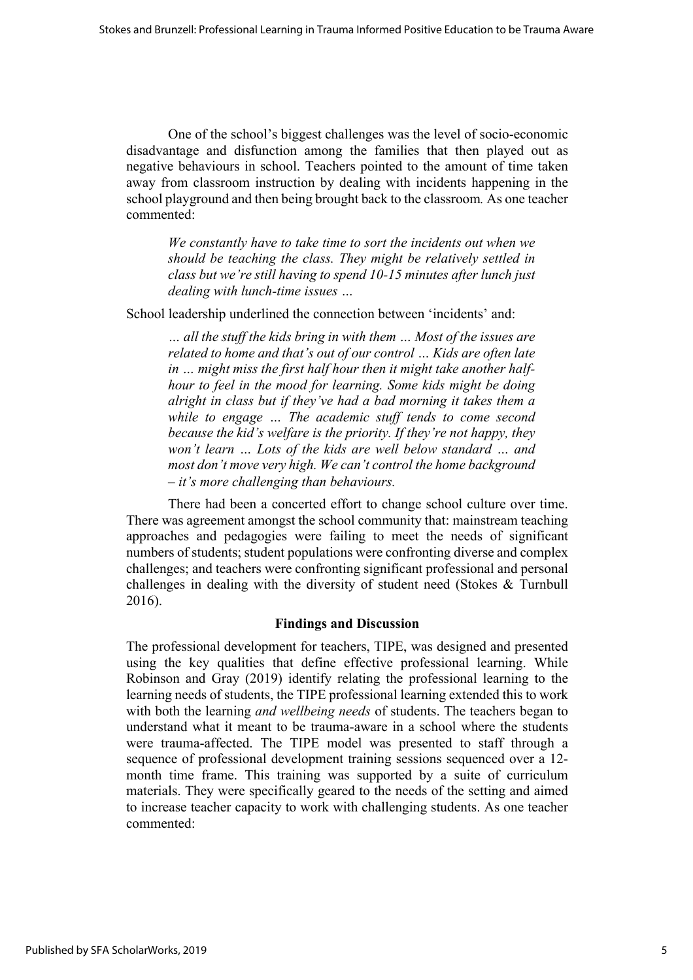One of the school's biggest challenges was the level of socio-economic disadvantage and disfunction among the families that then played out as negative behaviours in school. Teachers pointed to the amount of time taken away from classroom instruction by dealing with incidents happening in the school playground and then being brought back to the classroom*.* As one teacher commented:

*We constantly have to take time to sort the incidents out when we should be teaching the class. They might be relatively settled in class but we're still having to spend 10-15 minutes after lunch just dealing with lunch-time issues …* 

School leadership underlined the connection between 'incidents' and:

*… all the stuff the kids bring in with them … Most of the issues are related to home and that's out of our control … Kids are often late in … might miss the first half hour then it might take another halfhour to feel in the mood for learning. Some kids might be doing alright in class but if they've had a bad morning it takes them a while to engage … The academic stuff tends to come second because the kid's welfare is the priority. If they're not happy, they won't learn … Lots of the kids are well below standard … and most don't move very high. We can't control the home background – it's more challenging than behaviours.* 

There had been a concerted effort to change school culture over time. There was agreement amongst the school community that: mainstream teaching approaches and pedagogies were failing to meet the needs of significant numbers of students; student populations were confronting diverse and complex challenges; and teachers were confronting significant professional and personal challenges in dealing with the diversity of student need (Stokes & Turnbull 2016).

# **Findings and Discussion**

The professional development for teachers, TIPE, was designed and presented using the key qualities that define effective professional learning. While Robinson and Gray (2019) identify relating the professional learning to the learning needs of students, the TIPE professional learning extended this to work with both the learning *and wellbeing needs* of students. The teachers began to understand what it meant to be trauma-aware in a school where the students were trauma-affected. The TIPE model was presented to staff through a sequence of professional development training sessions sequenced over a 12 month time frame. This training was supported by a suite of curriculum materials. They were specifically geared to the needs of the setting and aimed to increase teacher capacity to work with challenging students. As one teacher commented: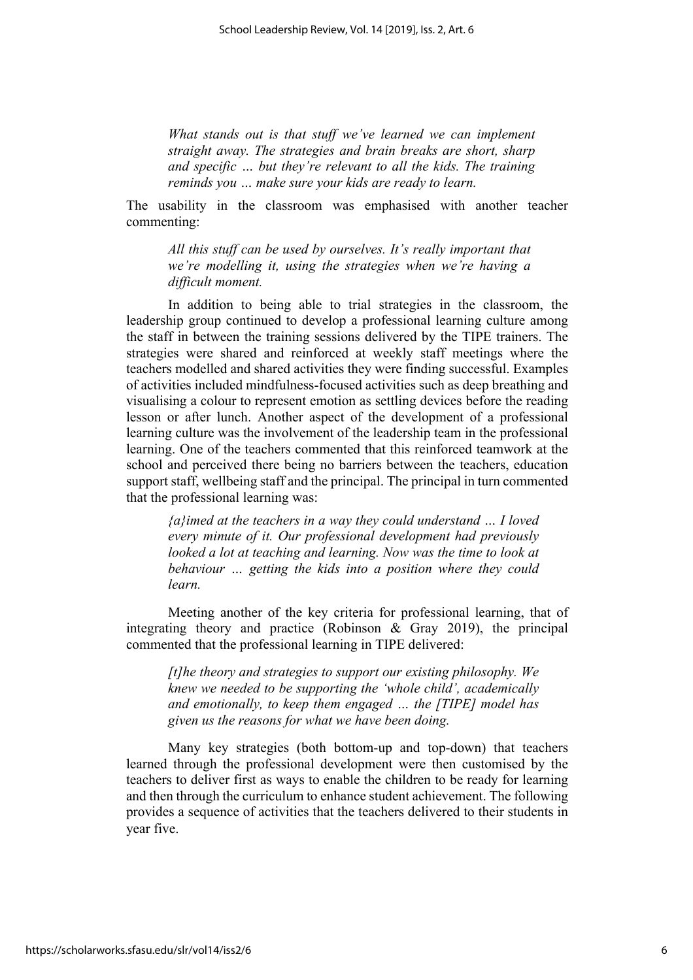*What stands out is that stuff we've learned we can implement straight away. The strategies and brain breaks are short, sharp and specific … but they're relevant to all the kids. The training reminds you … make sure your kids are ready to learn.* 

The usability in the classroom was emphasised with another teacher commenting:

*All this stuff can be used by ourselves. It's really important that we're modelling it, using the strategies when we're having a difficult moment.*

In addition to being able to trial strategies in the classroom, the leadership group continued to develop a professional learning culture among the staff in between the training sessions delivered by the TIPE trainers. The strategies were shared and reinforced at weekly staff meetings where the teachers modelled and shared activities they were finding successful. Examples of activities included mindfulness-focused activities such as deep breathing and visualising a colour to represent emotion as settling devices before the reading lesson or after lunch. Another aspect of the development of a professional learning culture was the involvement of the leadership team in the professional learning. One of the teachers commented that this reinforced teamwork at the school and perceived there being no barriers between the teachers, education support staff, wellbeing staff and the principal. The principal in turn commented that the professional learning was:

*{a}imed at the teachers in a way they could understand … I loved every minute of it. Our professional development had previously looked a lot at teaching and learning. Now was the time to look at behaviour … getting the kids into a position where they could learn.* 

Meeting another of the key criteria for professional learning, that of integrating theory and practice (Robinson & Gray 2019), the principal commented that the professional learning in TIPE delivered:

*[t]he theory and strategies to support our existing philosophy. We knew we needed to be supporting the 'whole child', academically and emotionally, to keep them engaged … the [TIPE] model has given us the reasons for what we have been doing.*

Many key strategies (both bottom-up and top-down) that teachers learned through the professional development were then customised by the teachers to deliver first as ways to enable the children to be ready for learning and then through the curriculum to enhance student achievement. The following provides a sequence of activities that the teachers delivered to their students in year five.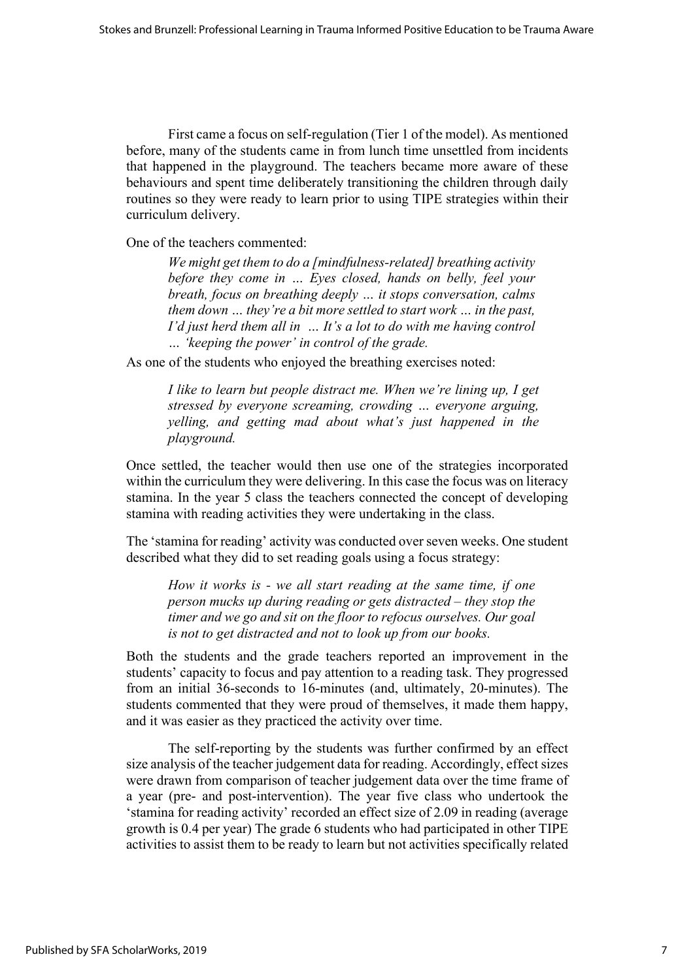First came a focus on self-regulation (Tier 1 of the model). As mentioned before, many of the students came in from lunch time unsettled from incidents that happened in the playground. The teachers became more aware of these behaviours and spent time deliberately transitioning the children through daily routines so they were ready to learn prior to using TIPE strategies within their curriculum delivery.

One of the teachers commented:

*We might get them to do a [mindfulness-related] breathing activity before they come in … Eyes closed, hands on belly, feel your breath, focus on breathing deeply … it stops conversation, calms them down … they're a bit more settled to start work … in the past, I'd just herd them all in … It's a lot to do with me having control … 'keeping the power' in control of the grade.* 

As one of the students who enjoyed the breathing exercises noted:

*I like to learn but people distract me. When we're lining up, I get stressed by everyone screaming, crowding … everyone arguing, yelling, and getting mad about what's just happened in the playground.* 

Once settled, the teacher would then use one of the strategies incorporated within the curriculum they were delivering. In this case the focus was on literacy stamina. In the year 5 class the teachers connected the concept of developing stamina with reading activities they were undertaking in the class.

The 'stamina for reading' activity was conducted over seven weeks. One student described what they did to set reading goals using a focus strategy:

*How it works is - we all start reading at the same time, if one person mucks up during reading or gets distracted – they stop the timer and we go and sit on the floor to refocus ourselves. Our goal is not to get distracted and not to look up from our books.* 

Both the students and the grade teachers reported an improvement in the students' capacity to focus and pay attention to a reading task. They progressed from an initial 36-seconds to 16-minutes (and, ultimately, 20-minutes). The students commented that they were proud of themselves, it made them happy, and it was easier as they practiced the activity over time.

The self-reporting by the students was further confirmed by an effect size analysis of the teacher judgement data for reading. Accordingly, effect sizes were drawn from comparison of teacher judgement data over the time frame of a year (pre- and post-intervention). The year five class who undertook the 'stamina for reading activity' recorded an effect size of 2.09 in reading (average growth is 0.4 per year) The grade 6 students who had participated in other TIPE activities to assist them to be ready to learn but not activities specifically related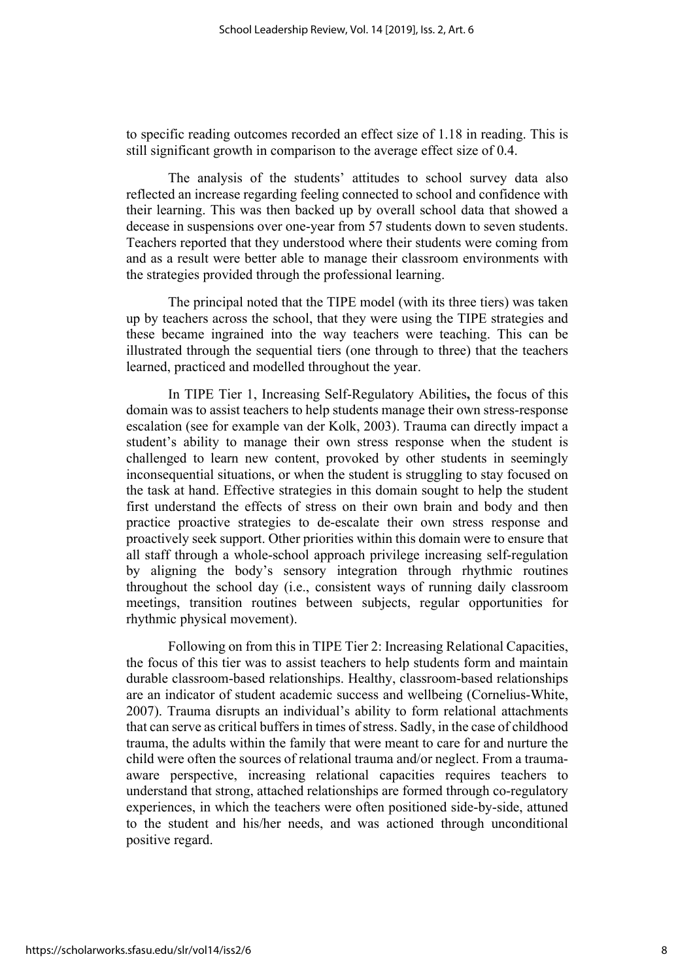to specific reading outcomes recorded an effect size of 1.18 in reading. This is still significant growth in comparison to the average effect size of 0.4.

The analysis of the students' attitudes to school survey data also reflected an increase regarding feeling connected to school and confidence with their learning. This was then backed up by overall school data that showed a decease in suspensions over one-year from 57 students down to seven students. Teachers reported that they understood where their students were coming from and as a result were better able to manage their classroom environments with the strategies provided through the professional learning.

The principal noted that the TIPE model (with its three tiers) was taken up by teachers across the school, that they were using the TIPE strategies and these became ingrained into the way teachers were teaching. This can be illustrated through the sequential tiers (one through to three) that the teachers learned, practiced and modelled throughout the year.

In TIPE Tier 1, Increasing Self-Regulatory Abilities**,** the focus of this domain was to assist teachers to help students manage their own stress-response escalation (see for example van der Kolk, 2003). Trauma can directly impact a student's ability to manage their own stress response when the student is challenged to learn new content, provoked by other students in seemingly inconsequential situations, or when the student is struggling to stay focused on the task at hand. Effective strategies in this domain sought to help the student first understand the effects of stress on their own brain and body and then practice proactive strategies to de-escalate their own stress response and proactively seek support. Other priorities within this domain were to ensure that all staff through a whole-school approach privilege increasing self-regulation by aligning the body's sensory integration through rhythmic routines throughout the school day (i.e., consistent ways of running daily classroom meetings, transition routines between subjects, regular opportunities for rhythmic physical movement).

Following on from this in TIPE Tier 2: Increasing Relational Capacities, the focus of this tier was to assist teachers to help students form and maintain durable classroom-based relationships. Healthy, classroom-based relationships are an indicator of student academic success and wellbeing (Cornelius-White, 2007). Trauma disrupts an individual's ability to form relational attachments that can serve as critical buffers in times of stress. Sadly, in the case of childhood trauma, the adults within the family that were meant to care for and nurture the child were often the sources of relational trauma and/or neglect. From a traumaaware perspective, increasing relational capacities requires teachers to understand that strong, attached relationships are formed through co-regulatory experiences, in which the teachers were often positioned side-by-side, attuned to the student and his/her needs, and was actioned through unconditional positive regard.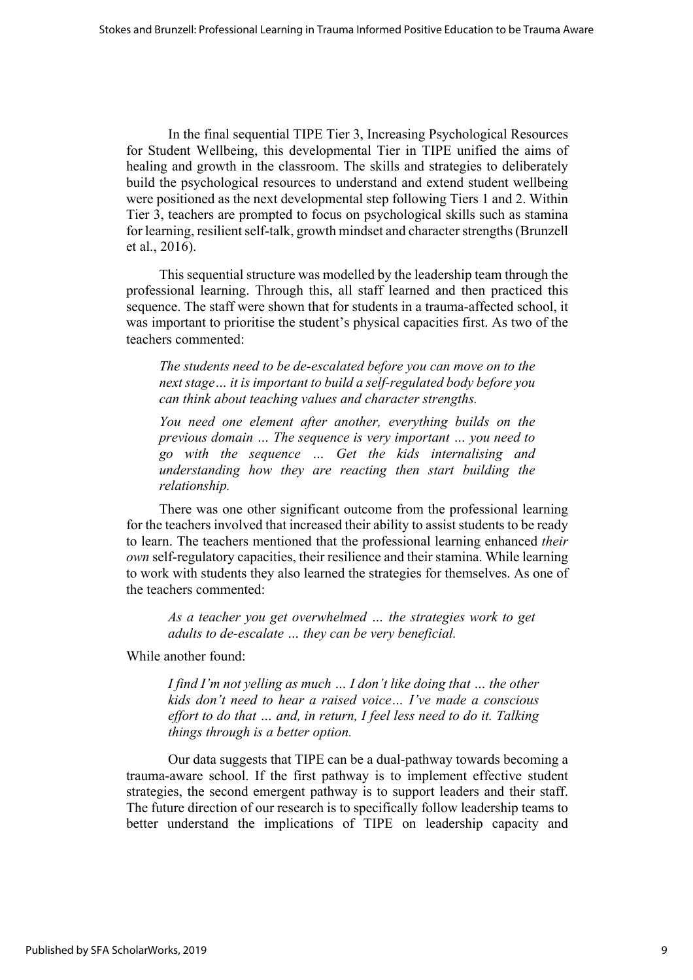In the final sequential TIPE Tier 3, Increasing Psychological Resources for Student Wellbeing, this developmental Tier in TIPE unified the aims of healing and growth in the classroom. The skills and strategies to deliberately build the psychological resources to understand and extend student wellbeing were positioned as the next developmental step following Tiers 1 and 2. Within Tier 3, teachers are prompted to focus on psychological skills such as stamina for learning, resilient self-talk, growth mindset and character strengths (Brunzell et al., 2016).

This sequential structure was modelled by the leadership team through the professional learning. Through this, all staff learned and then practiced this sequence. The staff were shown that for students in a trauma-affected school, it was important to prioritise the student's physical capacities first. As two of the teachers commented:

*The students need to be de-escalated before you can move on to the next stage… it is important to build a self-regulated body before you can think about teaching values and character strengths.* 

*You need one element after another, everything builds on the previous domain … The sequence is very important … you need to go with the sequence … Get the kids internalising and understanding how they are reacting then start building the relationship.* 

There was one other significant outcome from the professional learning for the teachers involved that increased their ability to assist students to be ready to learn. The teachers mentioned that the professional learning enhanced *their own* self-regulatory capacities, their resilience and their stamina. While learning to work with students they also learned the strategies for themselves. As one of the teachers commented:

*As a teacher you get overwhelmed … the strategies work to get adults to de-escalate … they can be very beneficial.* 

While another found:

*I find I'm not yelling as much … I don't like doing that … the other kids don't need to hear a raised voice… I've made a conscious effort to do that … and, in return, I feel less need to do it. Talking things through is a better option.* 

Our data suggests that TIPE can be a dual-pathway towards becoming a trauma-aware school. If the first pathway is to implement effective student strategies, the second emergent pathway is to support leaders and their staff. The future direction of our research is to specifically follow leadership teams to better understand the implications of TIPE on leadership capacity and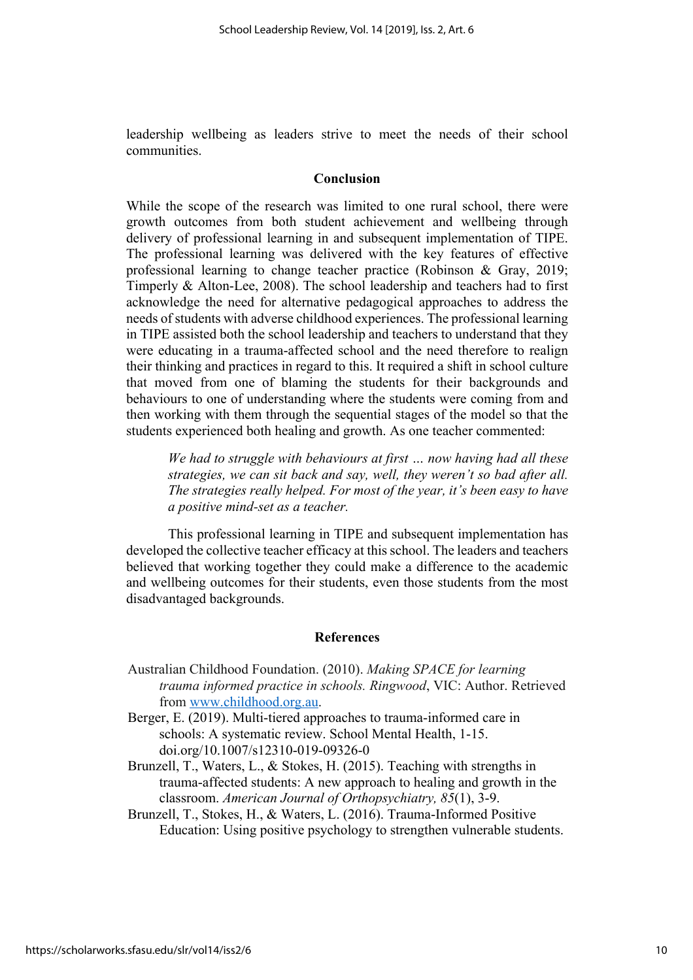leadership wellbeing as leaders strive to meet the needs of their school communities.

#### **Conclusion**

While the scope of the research was limited to one rural school, there were growth outcomes from both student achievement and wellbeing through delivery of professional learning in and subsequent implementation of TIPE. The professional learning was delivered with the key features of effective professional learning to change teacher practice (Robinson & Gray, 2019; Timperly & Alton-Lee, 2008). The school leadership and teachers had to first acknowledge the need for alternative pedagogical approaches to address the needs of students with adverse childhood experiences. The professional learning in TIPE assisted both the school leadership and teachers to understand that they were educating in a trauma-affected school and the need therefore to realign their thinking and practices in regard to this. It required a shift in school culture that moved from one of blaming the students for their backgrounds and behaviours to one of understanding where the students were coming from and then working with them through the sequential stages of the model so that the students experienced both healing and growth. As one teacher commented:

*We had to struggle with behaviours at first … now having had all these strategies, we can sit back and say, well, they weren't so bad after all. The strategies really helped. For most of the year, it's been easy to have a positive mind-set as a teacher.* 

This professional learning in TIPE and subsequent implementation has developed the collective teacher efficacy at this school. The leaders and teachers believed that working together they could make a difference to the academic and wellbeing outcomes for their students, even those students from the most disadvantaged backgrounds.

### **References**

- Australian Childhood Foundation. (2010). *Making SPACE for learning trauma informed practice in schools. Ringwood*, VIC: Author. Retrieved from www.childhood.org.au.
- Berger, E. (2019). Multi-tiered approaches to trauma-informed care in schools: A systematic review. School Mental Health, 1-15. doi.org/10.1007/s12310-019-09326-0
- Brunzell, T., Waters, L., & Stokes, H. (2015). Teaching with strengths in trauma-affected students: A new approach to healing and growth in the classroom. *American Journal of Orthopsychiatry, 85*(1), 3-9.
- Brunzell, T., Stokes, H., & Waters, L. (2016). Trauma-Informed Positive Education: Using positive psychology to strengthen vulnerable students.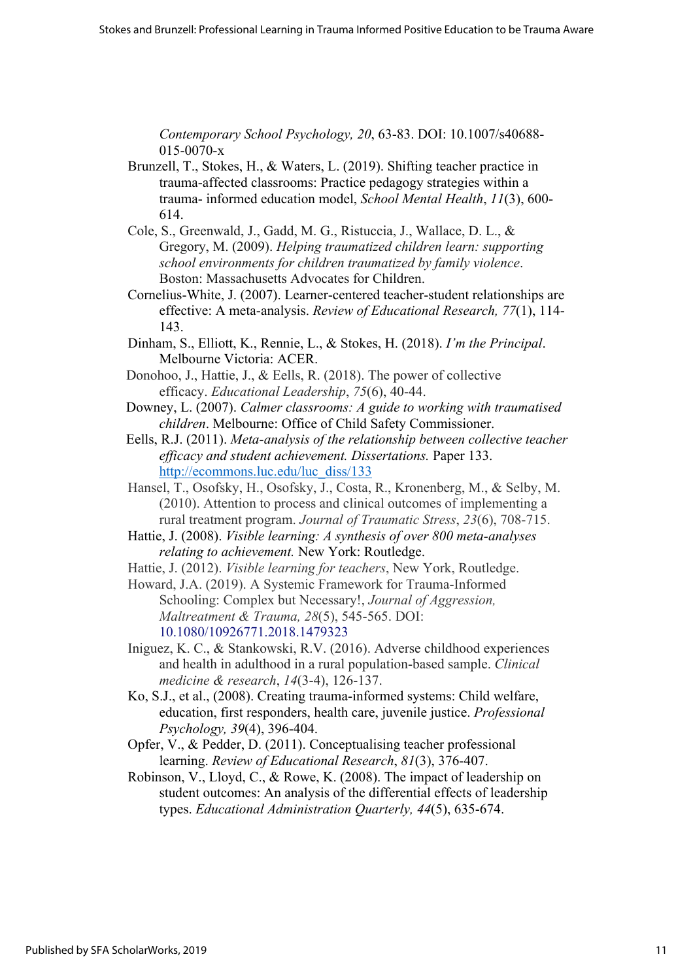*Contemporary School Psychology, 20*, 63-83. DOI: 10.1007/s40688- 015-0070-x

- Brunzell, T., Stokes, H., & Waters, L. (2019). Shifting teacher practice in trauma-affected classrooms: Practice pedagogy strategies within a trauma- informed education model, *School Mental Health*, *11*(3), 600- 614.
- Cole, S., Greenwald, J., Gadd, M. G., Ristuccia, J., Wallace, D. L., & Gregory, M. (2009). *Helping traumatized children learn: supporting school environments for children traumatized by family violence*. Boston: Massachusetts Advocates for Children.
- Cornelius-White, J. (2007). Learner-centered teacher-student relationships are effective: A meta-analysis. *Review of Educational Research, 77*(1), 114- 143.
- Dinham, S., Elliott, K., Rennie, L., & Stokes, H. (2018). *I'm the Principal*. Melbourne Victoria: ACER.
- Donohoo, J., Hattie, J., & Eells, R. (2018). The power of collective efficacy. *Educational Leadership*, *75*(6), 40-44.
- Downey, L. (2007). *Calmer classrooms: A guide to working with traumatised children*. Melbourne: Office of Child Safety Commissioner.
- Eells, R.J. (2011). *Meta-analysis of the relationship between collective teacher efficacy and student achievement. Dissertations.* Paper 133. http://ecommons.luc.edu/luc\_diss/133
- Hansel, T., Osofsky, H., Osofsky, J., Costa, R., Kronenberg, M., & Selby, M. (2010). Attention to process and clinical outcomes of implementing a rural treatment program. *Journal of Traumatic Stress*, *23*(6), 708-715.
- Hattie, J. (2008). *Visible learning: A synthesis of over 800 meta-analyses relating to achievement.* New York: Routledge.
- Hattie, J. (2012). *Visible learning for teachers*, New York, Routledge.
- Howard, J.A. (2019). A Systemic Framework for Trauma-Informed Schooling: Complex but Necessary!, *Journal of Aggression, Maltreatment & Trauma, 28*(5), 545-565. DOI: 10.1080/10926771.2018.1479323
- Iniguez, K. C., & Stankowski, R.V. (2016). Adverse childhood experiences and health in adulthood in a rural population-based sample. *Clinical medicine & research*, *14*(3-4), 126-137.
- Ko, S.J., et al., (2008). Creating trauma-informed systems: Child welfare, education, first responders, health care, juvenile justice. *Professional Psychology, 39*(4), 396-404.
- Opfer, V., & Pedder, D. (2011). Conceptualising teacher professional learning. *Review of Educational Research*, *81*(3), 376-407.
- Robinson, V., Lloyd, C., & Rowe, K. (2008). The impact of leadership on student outcomes: An analysis of the differential effects of leadership types. *Educational Administration Quarterly, 44*(5), 635-674.